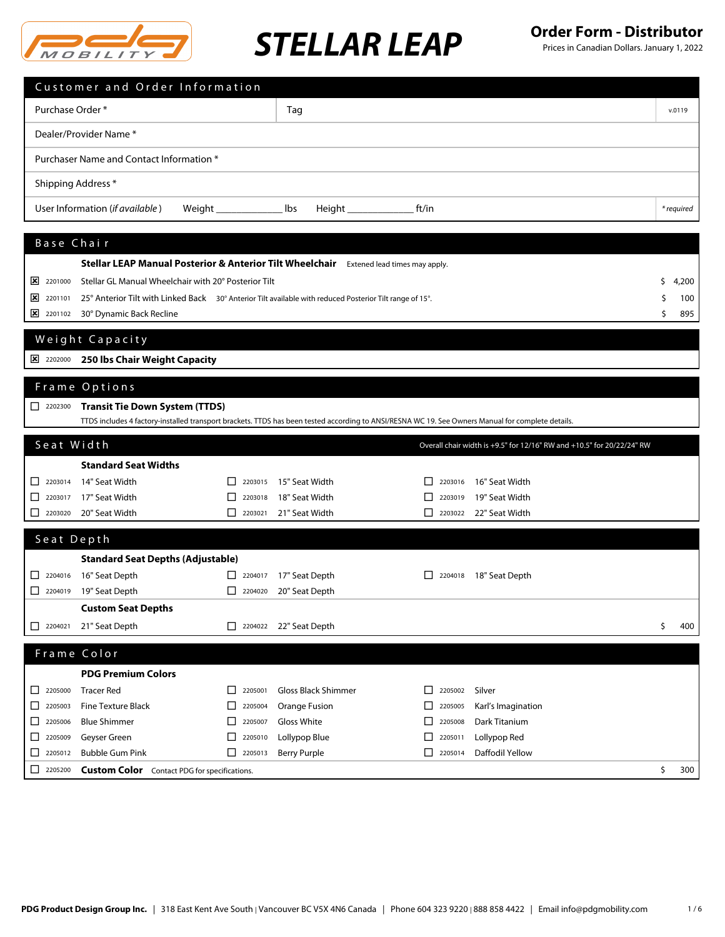

|                                                        | Customer and Order Information                                                                                                                                                             |                                                     |                               |                               |                                                                        |    |            |
|--------------------------------------------------------|--------------------------------------------------------------------------------------------------------------------------------------------------------------------------------------------|-----------------------------------------------------|-------------------------------|-------------------------------|------------------------------------------------------------------------|----|------------|
| Purchase Order *                                       |                                                                                                                                                                                            |                                                     | Tag                           |                               |                                                                        |    | v.0119     |
|                                                        | Dealer/Provider Name *                                                                                                                                                                     |                                                     |                               |                               |                                                                        |    |            |
|                                                        | Purchaser Name and Contact Information *                                                                                                                                                   |                                                     |                               |                               |                                                                        |    |            |
| Shipping Address *                                     |                                                                                                                                                                                            |                                                     |                               |                               |                                                                        |    |            |
|                                                        | User Information (if available)<br>Weight                                                                                                                                                  |                                                     | lbs<br>Height _________       | ft/in                         |                                                                        |    | * required |
|                                                        |                                                                                                                                                                                            |                                                     |                               |                               |                                                                        |    |            |
| Base Chair                                             |                                                                                                                                                                                            |                                                     |                               |                               |                                                                        |    |            |
|                                                        | Stellar LEAP Manual Posterior & Anterior Tilt Wheelchair                                                                                                                                   |                                                     |                               | Extened lead times may apply. |                                                                        |    |            |
| ⊠<br>2201000                                           | Stellar GL Manual Wheelchair with 20° Posterior Tilt                                                                                                                                       |                                                     |                               |                               |                                                                        | \$ | 4,200      |
| $\frac{1}{2}$ 2201101                                  | 25° Anterior Tilt with Linked Back 30° Anterior Tilt available with reduced Posterior Tilt range of 15°.                                                                                   |                                                     |                               |                               |                                                                        | S  | 100        |
| $\frac{1}{2201102}$                                    | 30° Dynamic Back Recline                                                                                                                                                                   |                                                     |                               |                               |                                                                        | \$ | 895        |
|                                                        | Weight Capacity                                                                                                                                                                            |                                                     |                               |                               |                                                                        |    |            |
| 2202000                                                | 250 lbs Chair Weight Capacity                                                                                                                                                              |                                                     |                               |                               |                                                                        |    |            |
|                                                        | Frame Options                                                                                                                                                                              |                                                     |                               |                               |                                                                        |    |            |
|                                                        |                                                                                                                                                                                            |                                                     |                               |                               |                                                                        |    |            |
| $2202300$                                              | <b>Transit Tie Down System (TTDS)</b><br>TTDS includes 4 factory-installed transport brackets. TTDS has been tested according to ANSI/RESNA WC 19. See Owners Manual for complete details. |                                                     |                               |                               |                                                                        |    |            |
| Seat Width                                             |                                                                                                                                                                                            |                                                     |                               |                               |                                                                        |    |            |
|                                                        |                                                                                                                                                                                            |                                                     |                               |                               | Overall chair width is +9.5" for 12/16" RW and +10.5" for 20/22/24" RW |    |            |
| $\begin{array}{ c c c }\n\hline\n2203014\n\end{array}$ | <b>Standard Seat Widths</b><br>14" Seat Width                                                                                                                                              | $\Box$<br>2203015                                   | 15" Seat Width                | 2203016                       | 16" Seat Width                                                         |    |            |
| 2203017<br>ப                                           | 17" Seat Width                                                                                                                                                                             | 2203018                                             | 18" Seat Width                | 2203019                       | 19" Seat Width                                                         |    |            |
| $2203020$                                              | 20" Seat Width                                                                                                                                                                             | $\Box$ 2203021                                      | 21" Seat Width                | $\mathsf{L}$<br>2203022       | 22" Seat Width                                                         |    |            |
|                                                        |                                                                                                                                                                                            |                                                     |                               |                               |                                                                        |    |            |
| Seat Depth                                             |                                                                                                                                                                                            |                                                     |                               |                               |                                                                        |    |            |
|                                                        | <b>Standard Seat Depths (Adjustable)</b>                                                                                                                                                   |                                                     |                               |                               |                                                                        |    |            |
|                                                        | $\Box$ 2204016 16" Seat Depth                                                                                                                                                              |                                                     | $\Box$ 2204017 17" Seat Depth | $\sqrt{2204018}$              | 18" Seat Depth                                                         |    |            |
|                                                        | $\Box$ 2204019 19" Seat Depth                                                                                                                                                              |                                                     | 2204020 20" Seat Depth        |                               |                                                                        |    |            |
|                                                        | <b>Custom Seat Depths</b>                                                                                                                                                                  |                                                     |                               |                               |                                                                        |    |            |
| 12204021                                               | 21" Seat Depth                                                                                                                                                                             |                                                     | 2204022 22" Seat Depth        |                               |                                                                        | \$ | 400        |
|                                                        | Frame Color                                                                                                                                                                                |                                                     |                               |                               |                                                                        |    |            |
|                                                        | <b>PDG Premium Colors</b>                                                                                                                                                                  |                                                     |                               |                               |                                                                        |    |            |
|                                                        | <b>Tracer Red</b>                                                                                                                                                                          | 2205001<br>$\mathbf{L}$                             | Gloss Black Shimmer           | 2205002<br>$\mathsf{L}$       | Silver                                                                 |    |            |
| 2205003<br>ப                                           | <b>Fine Texture Black</b>                                                                                                                                                                  | 2205004<br>⊔                                        | Orange Fusion                 | $\mathbf{L}$<br>2205005       | Karl's Imagination                                                     |    |            |
| 2205006<br>ப                                           | <b>Blue Shimmer</b>                                                                                                                                                                        | ப<br>2205007                                        | Gloss White                   | □<br>2205008                  | Dark Titanium                                                          |    |            |
| $\Box$ 2205009                                         | Geyser Green                                                                                                                                                                               | ⊔<br>2205010                                        | Lollypop Blue                 | ⊔<br>2205011                  | Lollypop Red                                                           |    |            |
| 2205012<br>ப                                           | <b>Bubble Gum Pink</b>                                                                                                                                                                     | $\begin{array}{ c c }\n\hline\n\end{array}$ 2205013 | <b>Berry Purple</b>           | 2205014<br>l I                | Daffodil Yellow                                                        |    |            |
| $\boxed{\phantom{1}}$ 2205200                          | <b>Custom Color</b> Contact PDG for specifications.                                                                                                                                        |                                                     |                               |                               |                                                                        | \$ | 300        |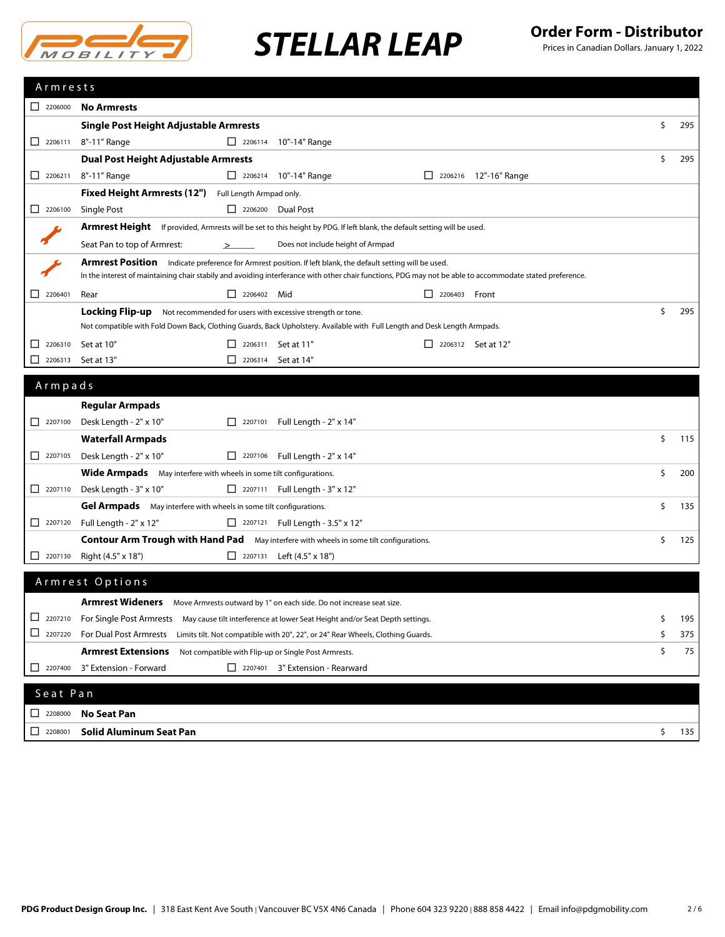

| Armrests                                                        |                                                                                                                                                                                                                                                                         |    |     |  |
|-----------------------------------------------------------------|-------------------------------------------------------------------------------------------------------------------------------------------------------------------------------------------------------------------------------------------------------------------------|----|-----|--|
| $\Box$ 2206000                                                  | <b>No Armrests</b>                                                                                                                                                                                                                                                      |    |     |  |
|                                                                 | Single Post Height Adjustable Armrests                                                                                                                                                                                                                                  | \$ | 295 |  |
| $\Box$ 2206111                                                  | 8"-11" Range<br>2206114 10"-14" Range                                                                                                                                                                                                                                   |    |     |  |
|                                                                 | <b>Dual Post Height Adjustable Armrests</b>                                                                                                                                                                                                                             | \$ | 295 |  |
| $\Box$ 2206211                                                  | 8"-11" Range<br>2206214 10"-14" Range<br>2206216 12"-16" Range                                                                                                                                                                                                          |    |     |  |
|                                                                 | Fixed Height Armrests (12") Full Length Armpad only.                                                                                                                                                                                                                    |    |     |  |
| $\begin{array}{ c c c c c } \hline \quad & 2206100 \end{array}$ | Single Post<br>$\Box$ 2206200 Dual Post                                                                                                                                                                                                                                 |    |     |  |
|                                                                 | Armrest Height If provided, Armrests will be set to this height by PDG. If left blank, the default setting will be used.                                                                                                                                                |    |     |  |
|                                                                 | Seat Pan to top of Armrest:<br>Does not include height of Armpad<br>➢                                                                                                                                                                                                   |    |     |  |
|                                                                 | Armrest Position Indicate preference for Armrest position. If left blank, the default setting will be used.<br>In the interest of maintaining chair stabily and avoiding interferance with other chair functions, PDG may not be able to accommodate stated preference. |    |     |  |
| $\begin{array}{ c c }\n\hline\n2206401\n\end{array}$            | $\Box$ 2206402 Mid<br>$\Box$ 2206403 Front<br>Rear                                                                                                                                                                                                                      |    |     |  |
|                                                                 | Locking Flip-up<br>Not recommended for users with excessive strength or tone.                                                                                                                                                                                           | Ŝ. | 295 |  |
|                                                                 | Not compatible with Fold Down Back, Clothing Guards, Back Upholstery. Available with Full Length and Desk Length Armpads.                                                                                                                                               |    |     |  |
| 2206310<br>ப                                                    | Set at 10"<br>2206311 Set at 11"<br>$\Box$ 2206312 Set at 12"<br>$\mathsf{L}$                                                                                                                                                                                           |    |     |  |
| 2206313<br>$\mathsf{L}$                                         | Set at 13"<br>$\Box$ 2206314 Set at 14"                                                                                                                                                                                                                                 |    |     |  |
| Armpads                                                         |                                                                                                                                                                                                                                                                         |    |     |  |
|                                                                 |                                                                                                                                                                                                                                                                         |    |     |  |
| $\begin{array}{ c c c c c } \hline \quad & 2207100 \end{array}$ | <b>Regular Armpads</b>                                                                                                                                                                                                                                                  |    |     |  |
|                                                                 | Desk Length - 2" x 10"<br>$\boxed{\phantom{1}}$ 2207101<br>Full Length - 2" x 14"                                                                                                                                                                                       |    |     |  |
| 2207105                                                         | <b>Waterfall Armpads</b>                                                                                                                                                                                                                                                | \$ | 115 |  |
|                                                                 | Desk Length - 2" x 10"<br>2207106 Full Length - $2" \times 14"$                                                                                                                                                                                                         | Ŝ. |     |  |
|                                                                 | <b>Wide Armpads</b> May interfere with wheels in some tilt configurations.<br>Desk Length - 3" x 10"<br>2207111 Full Length - $3" \times 12"$                                                                                                                           |    | 200 |  |
|                                                                 | Gel Armpads May interfere with wheels in some tilt configurations.                                                                                                                                                                                                      | Ś. | 135 |  |
|                                                                 | 2207120 Full Length - 2" x 12"<br>2207121 Full Length - 3.5" x 12"                                                                                                                                                                                                      |    |     |  |
|                                                                 | <b>Contour Arm Trough with Hand Pad</b> May interfere with wheels in some tilt configurations.                                                                                                                                                                          | \$ | 125 |  |
| $\begin{array}{ c c }\n\hline\n\end{array}$ 2207130             | Right (4.5" x 18")<br>2207131 Left $(4.5" \times 18")$                                                                                                                                                                                                                  |    |     |  |
|                                                                 |                                                                                                                                                                                                                                                                         |    |     |  |
|                                                                 | Armrest Options                                                                                                                                                                                                                                                         |    |     |  |
|                                                                 | Armrest Wideners Move Armrests outward by 1" on each side. Do not increase seat size.                                                                                                                                                                                   |    |     |  |
| ⊔<br>2207210                                                    | For Single Post Armrests<br>May cause tilt interference at lower Seat Height and/or Seat Depth settings.                                                                                                                                                                | \$ | 195 |  |
| $\Box$ 2207220                                                  | <b>For Dual Post Armrests</b><br>Limits tilt. Not compatible with 20", 22", or 24" Rear Wheels, Clothing Guards.                                                                                                                                                        | \$ | 375 |  |
|                                                                 | <b>Armrest Extensions</b><br>Not compatible with Flip-up or Single Post Armrests.                                                                                                                                                                                       | \$ | 75  |  |
| $\Box$ 2207400                                                  | 3" Extension - Forward<br>2207401 3" Extension - Rearward                                                                                                                                                                                                               |    |     |  |
|                                                                 |                                                                                                                                                                                                                                                                         |    |     |  |
| Seat Pan                                                        |                                                                                                                                                                                                                                                                         |    |     |  |
| $\begin{array}{ c c }\n\hline\n\end{array}$ 2208000             | <b>No Seat Pan</b>                                                                                                                                                                                                                                                      |    |     |  |
| 2208001<br>ப                                                    | <b>Solid Aluminum Seat Pan</b>                                                                                                                                                                                                                                          | \$ | 135 |  |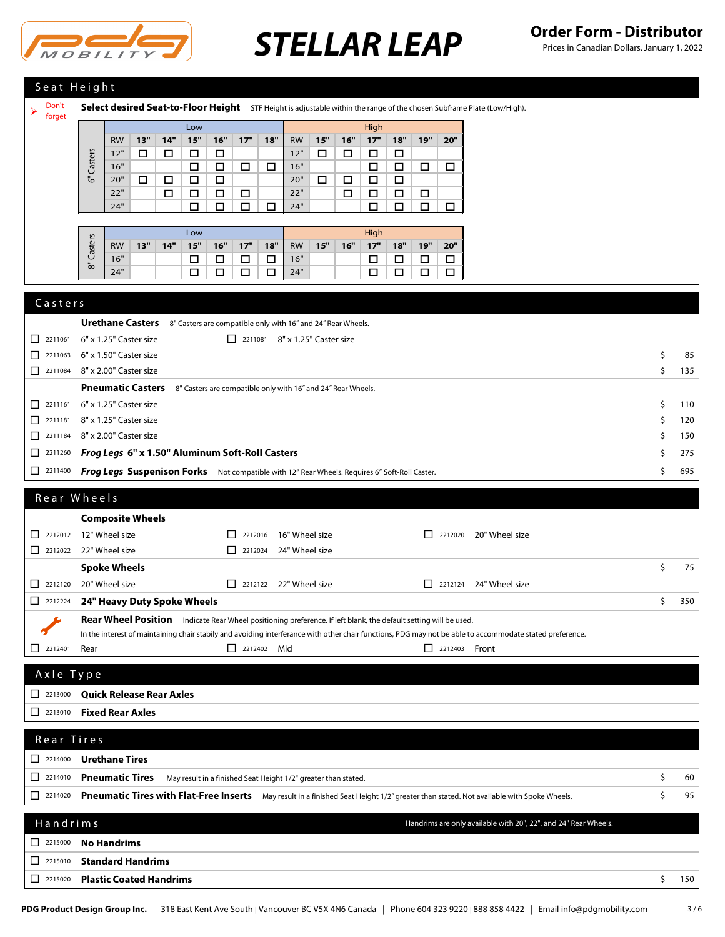

| Seat Height                                                                                                                     |                                                                                                                                                                 |    |     |  |  |  |
|---------------------------------------------------------------------------------------------------------------------------------|-----------------------------------------------------------------------------------------------------------------------------------------------------------------|----|-----|--|--|--|
| Don't<br>Select desired Seat-to-Floor Height STF Height is adjustable within the range of the chosen Subframe Plate (Low/High). |                                                                                                                                                                 |    |     |  |  |  |
| ➤<br>forget                                                                                                                     | Low                                                                                                                                                             |    |     |  |  |  |
|                                                                                                                                 | High<br>13"<br>14"<br>15"<br>16"<br>17"<br>18"<br>15"<br>17"<br>18"<br>19"<br><b>RW</b><br><b>RW</b><br>16"<br>20"                                              |    |     |  |  |  |
|                                                                                                                                 | 12"<br>12"<br>□<br>□<br>□<br>$\Box$<br>$\Box$<br>□<br>□<br>□                                                                                                    |    |     |  |  |  |
|                                                                                                                                 | Casters<br>16"<br>16"<br>$\Box$<br>$\Box$<br>$\Box$<br>$\Box$<br>$\Box$<br>$\Box$<br>$\Box$<br>$\Box$                                                           |    |     |  |  |  |
|                                                                                                                                 | ్తే<br>20"<br>□<br>$\Box$<br>$\Box$<br>$\Box$<br>20"<br>□<br>$\Box$<br>$\Box$<br>$\Box$                                                                         |    |     |  |  |  |
|                                                                                                                                 | 22"<br>$\Box$<br>22"<br>$\Box$<br>$\Box$<br>$\Box$<br>□<br>□<br>□<br>□<br>24"<br>$\Box$<br>$\Box$<br>24"<br>$\Box$<br>$\Box$<br>$\Box$<br>□<br>$\Box$<br>$\Box$ |    |     |  |  |  |
|                                                                                                                                 |                                                                                                                                                                 |    |     |  |  |  |
|                                                                                                                                 | High<br>Low                                                                                                                                                     |    |     |  |  |  |
|                                                                                                                                 | Casters<br>$17"$<br>13"<br>14"<br>15"<br>16"<br>17"<br>18"<br>15"<br>18"<br>19"<br>20"<br><b>RW</b><br><b>RW</b><br>16"                                         |    |     |  |  |  |
|                                                                                                                                 | 16"<br>16"<br>$\Box$<br>$\Box$<br>$\Box$<br>$\Box$<br>□<br>□<br>□<br>$\Box$<br>్లే                                                                              |    |     |  |  |  |
|                                                                                                                                 | 24"<br>□<br>$\Box$<br>24"<br>□<br>$\Box$<br>$\Box$<br>□<br>□<br>□                                                                                               |    |     |  |  |  |
| Casters                                                                                                                         |                                                                                                                                                                 |    |     |  |  |  |
|                                                                                                                                 |                                                                                                                                                                 |    |     |  |  |  |
|                                                                                                                                 | <b>Urethane Casters</b><br>8" Casters are compatible only with 16" and 24" Rear Wheels.                                                                         |    |     |  |  |  |
| 2211061<br>⊔                                                                                                                    | 6" x 1.25" Caster size<br>2211081 8" x 1.25" Caster size                                                                                                        |    |     |  |  |  |
| 2211063<br>$\Box$                                                                                                               | 6" x 1.50" Caster size                                                                                                                                          | \$ | 85  |  |  |  |
| 2211084                                                                                                                         | 8" x 2.00" Caster size                                                                                                                                          | \$ | 135 |  |  |  |
|                                                                                                                                 | <b>Pneumatic Casters</b><br>8" Casters are compatible only with 16" and 24" Rear Wheels.                                                                        |    |     |  |  |  |
| 2211161<br>ப                                                                                                                    | 6" x 1.25" Caster size                                                                                                                                          | \$ | 110 |  |  |  |
| □<br>2211181                                                                                                                    | 8" x 1.25" Caster size                                                                                                                                          | \$ | 120 |  |  |  |
| $\Box$<br>2211184                                                                                                               | 8" x 2.00" Caster size                                                                                                                                          | \$ | 150 |  |  |  |
| 2211260<br>⊔                                                                                                                    | Frog Legs 6" x 1.50" Aluminum Soft-Roll Casters                                                                                                                 | \$ | 275 |  |  |  |
| $\Box$ 2211400                                                                                                                  | Frog Legs Suspenison Forks Not compatible with 12" Rear Wheels. Requires 6" Soft-Roll Caster.                                                                   | \$ | 695 |  |  |  |
|                                                                                                                                 |                                                                                                                                                                 |    |     |  |  |  |
|                                                                                                                                 |                                                                                                                                                                 |    |     |  |  |  |
|                                                                                                                                 | Rear Wheels                                                                                                                                                     |    |     |  |  |  |
|                                                                                                                                 | <b>Composite Wheels</b>                                                                                                                                         |    |     |  |  |  |
| 2212012                                                                                                                         | 12" Wheel size<br>$\Box$ 2212016 16" Wheel size<br>$\Box$ 2212020 20" Wheel size                                                                                |    |     |  |  |  |
|                                                                                                                                 | 22" Wheel size<br>$\Box$ 2212024<br>24" Wheel size                                                                                                              |    |     |  |  |  |
|                                                                                                                                 | <b>Spoke Wheels</b>                                                                                                                                             | \$ | 75  |  |  |  |
|                                                                                                                                 | 20" Wheel size<br>$\Box$ 2212122 22" Wheel size<br>$\Box$ 2212124 24" Wheel size                                                                                |    |     |  |  |  |
|                                                                                                                                 | 24" Heavy Duty Spoke Wheels                                                                                                                                     | \$ | 350 |  |  |  |
|                                                                                                                                 | Rear Wheel Position Indicate Rear Wheel positioning preference. If left blank, the default setting will be used.                                                |    |     |  |  |  |
|                                                                                                                                 | In the interest of maintaining chair stabily and avoiding interferance with other chair functions, PDG may not be able to accommodate stated preference.        |    |     |  |  |  |
|                                                                                                                                 | 2212402 Mid<br>$\Box$ 2212403 Front<br>Rear                                                                                                                     |    |     |  |  |  |
|                                                                                                                                 |                                                                                                                                                                 |    |     |  |  |  |
| Axle Type                                                                                                                       |                                                                                                                                                                 |    |     |  |  |  |
| $\begin{array}{ c c c c c } \hline \quad & 2213000 \\\hline \end{array}$                                                        | <b>Quick Release Rear Axles</b>                                                                                                                                 |    |     |  |  |  |
| $\Box$ 2213010                                                                                                                  | <b>Fixed Rear Axles</b>                                                                                                                                         |    |     |  |  |  |
|                                                                                                                                 |                                                                                                                                                                 |    |     |  |  |  |
| Rear Tires                                                                                                                      |                                                                                                                                                                 |    |     |  |  |  |
| $\begin{array}{ c c c c c } \hline \quad & 2214000 \end{array}$                                                                 | <b>Urethane Tires</b>                                                                                                                                           |    |     |  |  |  |
| 2214010<br>⊔                                                                                                                    | <b>Pneumatic Tires</b><br>May result in a finished Seat Height 1/2" greater than stated.                                                                        | \$ | 60  |  |  |  |
| $\begin{array}{ c c c c c c } \hline \quad & 2214020 \end{array}$                                                               | Pneumatic Tires with Flat-Free Inserts May result in a finished Seat Height 1/2" greater than stated. Not available with Spoke Wheels.                          | \$ | 95  |  |  |  |
|                                                                                                                                 |                                                                                                                                                                 |    |     |  |  |  |
| Handrims                                                                                                                        | Handrims are only available with 20", 22", and 24" Rear Wheels.                                                                                                 |    |     |  |  |  |
|                                                                                                                                 | <b>No Handrims</b>                                                                                                                                              |    |     |  |  |  |
| $\Box$<br>2215010                                                                                                               | <b>Standard Handrims</b>                                                                                                                                        |    |     |  |  |  |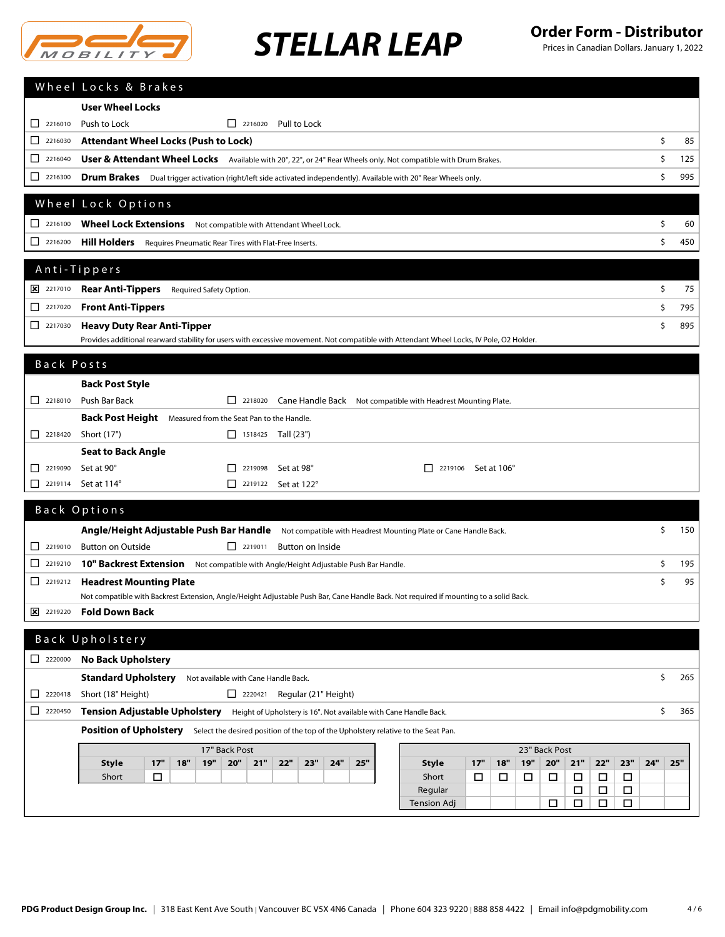

|                                                                   | Wheel Locks & Brakes                                                                                                                                       |           |
|-------------------------------------------------------------------|------------------------------------------------------------------------------------------------------------------------------------------------------------|-----------|
|                                                                   | <b>User Wheel Locks</b>                                                                                                                                    |           |
|                                                                   | Push to Lock<br>$\Box$ 2216020 Pull to Lock                                                                                                                |           |
| 2216030<br>ப                                                      | <b>Attendant Wheel Locks (Push to Lock)</b>                                                                                                                | \$<br>85  |
| □<br>2216040                                                      | User & Attendant Wheel Locks Available with 20", 22", or 24" Rear Wheels only. Not compatible with Drum Brakes.                                            | \$<br>125 |
| 2216300<br>ப                                                      | Drum Brakes Dual trigger activation (right/left side activated independently). Available with 20" Rear Wheels only.                                        | \$<br>995 |
|                                                                   |                                                                                                                                                            |           |
|                                                                   | Wheel Lock Options                                                                                                                                         |           |
| $\Box$ 2216100                                                    | Wheel Lock Extensions Not compatible with Attendant Wheel Lock.                                                                                            | \$<br>60  |
| $\Box$ 2216200                                                    | Hill Holders Requires Pneumatic Rear Tires with Flat-Free Inserts.                                                                                         | \$<br>450 |
|                                                                   | Anti-Tippers                                                                                                                                               |           |
| 2217010                                                           | Rear Anti-Tippers Required Safety Option.                                                                                                                  | \$<br>75  |
|                                                                   | <b>Front Anti-Tippers</b>                                                                                                                                  | \$<br>795 |
| □<br>2217030                                                      | <b>Heavy Duty Rear Anti-Tipper</b>                                                                                                                         | \$<br>895 |
|                                                                   | Provides additional rearward stability for users with excessive movement. Not compatible with Attendant Wheel Locks, IV Pole, O2 Holder.                   |           |
|                                                                   |                                                                                                                                                            |           |
| Back Posts                                                        |                                                                                                                                                            |           |
|                                                                   | <b>Back Post Style</b>                                                                                                                                     |           |
|                                                                   | Push Bar Back<br>2218020 Cane Handle Back Not compatible with Headrest Mounting Plate.                                                                     |           |
|                                                                   | Back Post Height Measured from the Seat Pan to the Handle.                                                                                                 |           |
| $\begin{array}{ c c }\n\hline\n2218420\n\end{array}$              | Short (17")<br>$\Box$ 1518425 Tall (23")                                                                                                                   |           |
|                                                                   | <b>Seat to Back Angle</b>                                                                                                                                  |           |
| 2219090<br>ΙI<br>2219114<br>ப                                     | Set at 90°<br>$\Box$ 2219098<br>Set at 98°<br>П<br>2219106 Set at 106°<br>Set at 114°<br>$\Box$ 2219122 Set at 122°                                        |           |
|                                                                   |                                                                                                                                                            |           |
|                                                                   | Back Options                                                                                                                                               |           |
|                                                                   | Angle/Height Adjustable Push Bar Handle Not compatible with Headrest Mounting Plate or Cane Handle Back.                                                   | \$<br>150 |
|                                                                   | $\boxed{\phantom{1}}$ 2219011<br><b>Button on Outside</b><br>Button on Inside                                                                              |           |
| □<br>2219210                                                      | 10" Backrest Extension Not compatible with Angle/Height Adjustable Push Bar Handle.                                                                        | \$<br>195 |
|                                                                   | <b>Headrest Mounting Plate</b>                                                                                                                             | \$<br>95  |
|                                                                   | Not compatible with Backrest Extension, Angle/Height Adjustable Push Bar, Cane Handle Back. Not required if mounting to a solid Back.                      |           |
| 2219220                                                           | <b>Fold Down Back</b>                                                                                                                                      |           |
|                                                                   | Back Upholstery                                                                                                                                            |           |
| $\begin{array}{ c c c }\n\hline\n2220000\n\end{array}$            | <b>No Back Upholstery</b>                                                                                                                                  |           |
|                                                                   | <b>Standard Upholstery</b><br>Not available with Cane Handle Back.                                                                                         | \$<br>265 |
| $\begin{array}{ c c c c c c } \hline \quad & 2220418 \end{array}$ | $\Box$ 2220421 Regular (21" Height)<br>Short (18" Height)                                                                                                  |           |
| $\begin{array}{ c c }\n\hline\n\end{array}$ 2220450               | Tension Adjustable Upholstery Height of Upholstery is 16". Not available with Cane Handle Back.                                                            | \$<br>365 |
|                                                                   | Position of Upholstery Select the desired position of the top of the Upholstery relative to the Seat Pan.                                                  |           |
|                                                                   | 23" Back Post<br>17" Back Post                                                                                                                             |           |
|                                                                   | 19"<br>20"<br>17"<br><b>19"</b><br>20"<br>21"<br>22"<br>23"<br>24"<br>25"<br>17"<br>21"<br>22"<br>23"<br>24"<br><b>Style</b><br>18"<br><b>Style</b><br>18" | 25"       |
|                                                                   | Short<br>$\Box$<br>Short<br>$\Box$<br>□<br>□<br>□<br>$\Box$<br>□<br>□                                                                                      |           |
|                                                                   | Regular<br>$\Box$<br>□<br>□                                                                                                                                |           |
|                                                                   | <b>Tension Adj</b><br>□<br>$\Box$<br>□<br>□                                                                                                                |           |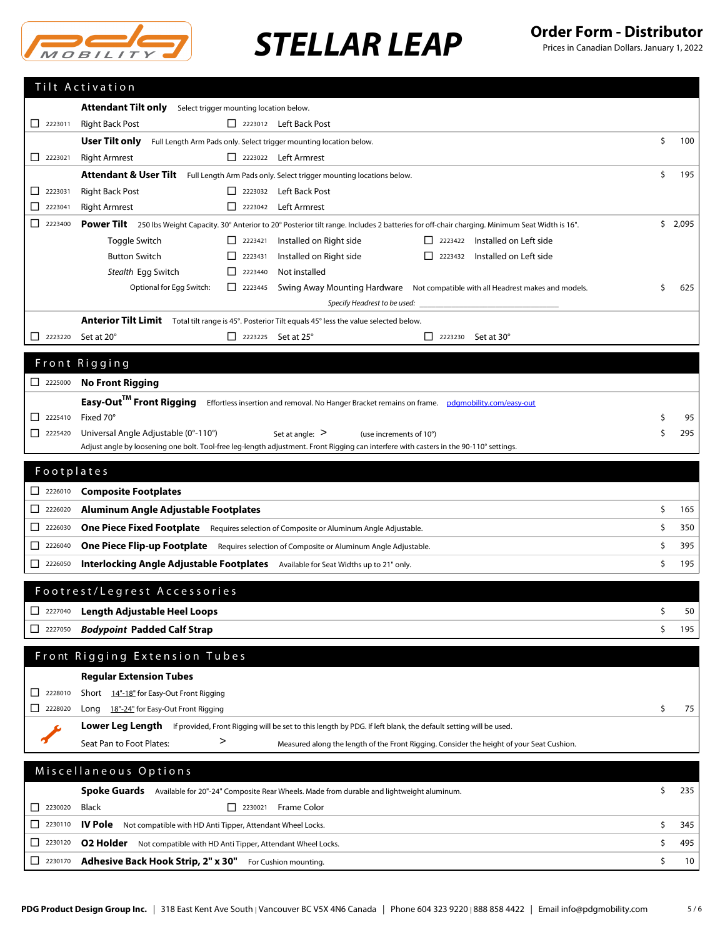

|                                                                             | Tilt Activation                                                                                                                                                              |    |         |
|-----------------------------------------------------------------------------|------------------------------------------------------------------------------------------------------------------------------------------------------------------------------|----|---------|
|                                                                             | Attendant Tilt only<br>Select trigger mounting location below.                                                                                                               |    |         |
| $\begin{array}{ c c c c c c } \hline \quad & 2223011 \\ \hline \end{array}$ | <b>Right Back Post</b><br>2223012 Left Back Post                                                                                                                             |    |         |
|                                                                             | User Tilt only<br>Full Length Arm Pads only. Select trigger mounting location below.                                                                                         | \$ | 100     |
| $\begin{array}{ c c }\n\hline\n2223021\n\end{array}$                        | <b>Right Armrest</b><br>$\Box$ 2223022 Left Armrest                                                                                                                          |    |         |
|                                                                             | Attendant & User Tilt Full Length Arm Pads only. Select trigger mounting locations below.                                                                                    | Ś. | 195     |
| 2223031<br>ΙI                                                               | <b>Right Back Post</b><br>2223032 Left Back Post                                                                                                                             |    |         |
| 2223041<br>ப                                                                | <b>Right Armrest</b><br>$\Box$ 2223042<br><b>Left Armrest</b>                                                                                                                |    |         |
| ப<br>2223400                                                                | Power Tilt 250 lbs Weight Capacity. 30° Anterior to 20° Posterior tilt range. Includes 2 batteries for off-chair charging. Minimum Seat Width is 16".                        |    | \$2,095 |
|                                                                             | Toggle Switch<br>$\begin{array}{ c c }\n\hline\n\end{array}$ 2223421<br>Installed on Right side<br>Installed on Left side                                                    |    |         |
|                                                                             | <b>Button Switch</b><br>Installed on Right side<br>Installed on Left side<br>П<br>2223431<br>2223432                                                                         |    |         |
|                                                                             | Not installed<br>Stealth Egg Switch<br>$\begin{array}{ c c }\n\hline\n\end{array}$ 2223440                                                                                   | Ŝ. |         |
|                                                                             | Optional for Egg Switch:<br>$\boxed{\phantom{1}}$ 2223445<br>Swing Away Mounting Hardware Not compatible with all Headrest makes and models.<br>Specify Headrest to be used: |    | 625     |
|                                                                             | Anterior Tilt Limit Total tilt range is 45°. Posterior Tilt equals 45° less the value selected below.                                                                        |    |         |
| П<br>2223220                                                                | Set at 20°<br>$\Box$ 2223225 Set at 25°<br>2223230 Set at 30°<br>$\mathsf{L}$                                                                                                |    |         |
|                                                                             |                                                                                                                                                                              |    |         |
|                                                                             | Front Rigging                                                                                                                                                                |    |         |
| $\Box$ 2225000                                                              | <b>No Front Rigging</b>                                                                                                                                                      |    |         |
|                                                                             | Easy-Out <sup>TM</sup> Front Rigging Effortless insertion and removal. No Hanger Bracket remains on frame. pdgmobility.com/easy-out                                          |    |         |
| $\Box$ 2225410                                                              | Fixed 70°                                                                                                                                                                    | \$ | 95      |
| 2225420<br>ப                                                                | Universal Angle Adjustable (0°-110°)<br>Set at angle: $>$<br>(use increments of 10°)                                                                                         | Ŝ  | 295     |
|                                                                             | Adjust angle by loosening one bolt. Tool-free leg-length adjustment. Front Rigging can interfere with casters in the 90-110° settings.                                       |    |         |
| Footplates                                                                  |                                                                                                                                                                              |    |         |
| $\begin{array}{ c c c }\n\hline\n2226010\n\end{array}$                      | <b>Composite Footplates</b>                                                                                                                                                  |    |         |
| 2226020<br>ப                                                                | Aluminum Angle Adjustable Footplates                                                                                                                                         | \$ | 165     |
| $2226030$                                                                   | <b>One Piece Fixed Footplate</b> Requires selection of Composite or Aluminum Angle Adjustable.                                                                               | \$ | 350     |
| □<br>2226040                                                                | One Piece Flip-up Footplate Requires selection of Composite or Aluminum Angle Adjustable.                                                                                    | \$ | 395     |
|                                                                             |                                                                                                                                                                              | \$ |         |
| □<br>2226050                                                                | Interlocking Angle Adjustable Footplates Available for Seat Widths up to 21" only.                                                                                           |    | 195     |
|                                                                             | Footrest/Legrest Accessories                                                                                                                                                 |    |         |
| 2227040                                                                     | <b>Length Adjustable Heel Loops</b>                                                                                                                                          | Ş  | 50      |
| □<br>2227050                                                                | <b>Bodypoint Padded Calf Strap</b>                                                                                                                                           | \$ | 195     |
|                                                                             |                                                                                                                                                                              |    |         |
|                                                                             | Front Rigging Extension Tubes                                                                                                                                                |    |         |
|                                                                             | <b>Regular Extension Tubes</b>                                                                                                                                               |    |         |
| □<br>2228010                                                                | Short 14"-18" for Easy-Out Front Rigging                                                                                                                                     |    |         |
| $\Box$<br>2228020                                                           | Long 18"-24" for Easy-Out Front Rigging                                                                                                                                      | \$ | 75      |
|                                                                             | Lower Leg Length If provided, Front Rigging will be set to this length by PDG. If left blank, the default setting will be used.                                              |    |         |
|                                                                             | ><br>Seat Pan to Foot Plates:<br>Measured along the length of the Front Rigging. Consider the height of your Seat Cushion.                                                   |    |         |
|                                                                             |                                                                                                                                                                              |    |         |
|                                                                             | Miscellaneous Options                                                                                                                                                        |    |         |
|                                                                             | Spoke Guards Available for 20"-24" Composite Rear Wheels. Made from durable and lightweight aluminum.                                                                        | \$ | 235     |
| 2230020<br>ப                                                                | $\begin{array}{ c c }\n\hline\n2230021\n\end{array}$<br>Frame Color<br>Black                                                                                                 |    | 345     |
| 2230110<br>ш                                                                | \$<br>IV Pole<br>Not compatible with HD Anti Tipper, Attendant Wheel Locks.                                                                                                  |    |         |
| □<br>2230120                                                                | <b>O2 Holder</b> Not compatible with HD Anti Tipper, Attendant Wheel Locks.                                                                                                  | \$ | 495     |
| ப<br>2230170                                                                | \$<br>Adhesive Back Hook Strip, 2" x 30" For Cushion mounting.                                                                                                               |    |         |